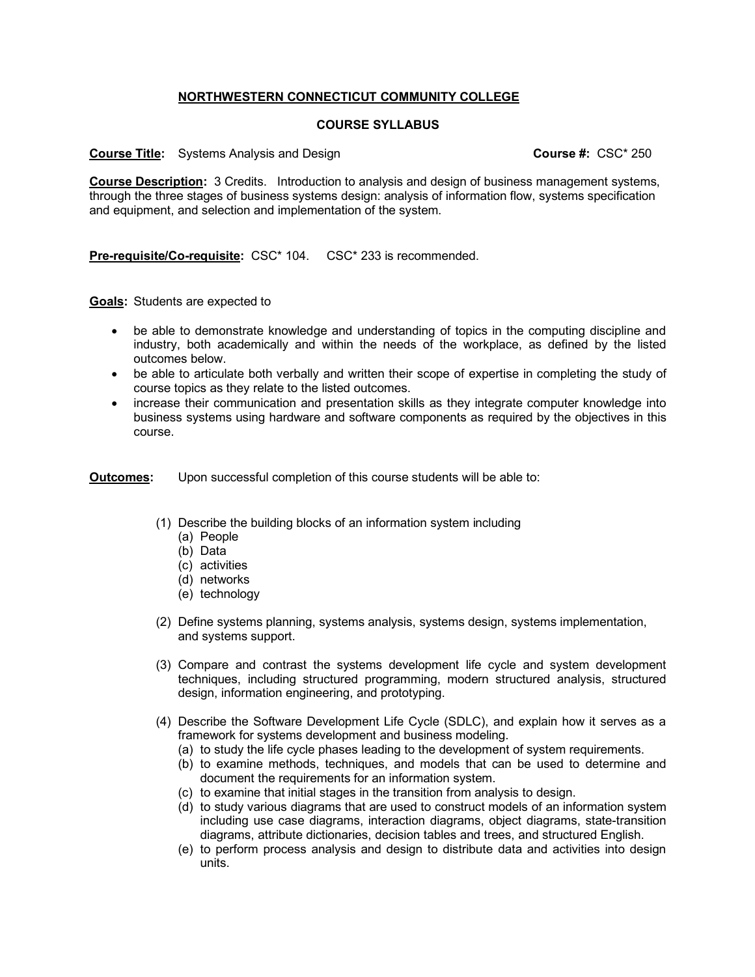## **NORTHWESTERN CONNECTICUT COMMUNITY COLLEGE**

## **COURSE SYLLABUS**

## **Course Title:** Systems Analysis and Design **Course #:** CSC\* 250

**Course Description:** 3 Credits. Introduction to analysis and design of business management systems, through the three stages of business systems design: analysis of information flow, systems specification and equipment, and selection and implementation of the system.

**Pre-requisite/Co-requisite:** CSC\* 104. CSC\* 233 is recommended.

**Goals:** Students are expected to

- be able to demonstrate knowledge and understanding of topics in the computing discipline and industry, both academically and within the needs of the workplace, as defined by the listed outcomes below.
- be able to articulate both verbally and written their scope of expertise in completing the study of course topics as they relate to the listed outcomes.
- increase their communication and presentation skills as they integrate computer knowledge into business systems using hardware and software components as required by the objectives in this course.

**Outcomes:** Upon successful completion of this course students will be able to:

- (1) Describe the building blocks of an information system including
	- (a) People
	- (b) Data
	- (c) activities
	- (d) networks
	- (e) technology
- (2) Define systems planning, systems analysis, systems design, systems implementation, and systems support.
- (3) Compare and contrast the systems development life cycle and system development techniques, including structured programming, modern structured analysis, structured design, information engineering, and prototyping.
- (4) Describe the Software Development Life Cycle (SDLC), and explain how it serves as a framework for systems development and business modeling.
	- (a) to study the life cycle phases leading to the development of system requirements.
	- (b) to examine methods, techniques, and models that can be used to determine and document the requirements for an information system.
	- (c) to examine that initial stages in the transition from analysis to design.
	- (d) to study various diagrams that are used to construct models of an information system including use case diagrams, interaction diagrams, object diagrams, state-transition diagrams, attribute dictionaries, decision tables and trees, and structured English.
	- (e) to perform process analysis and design to distribute data and activities into design units.